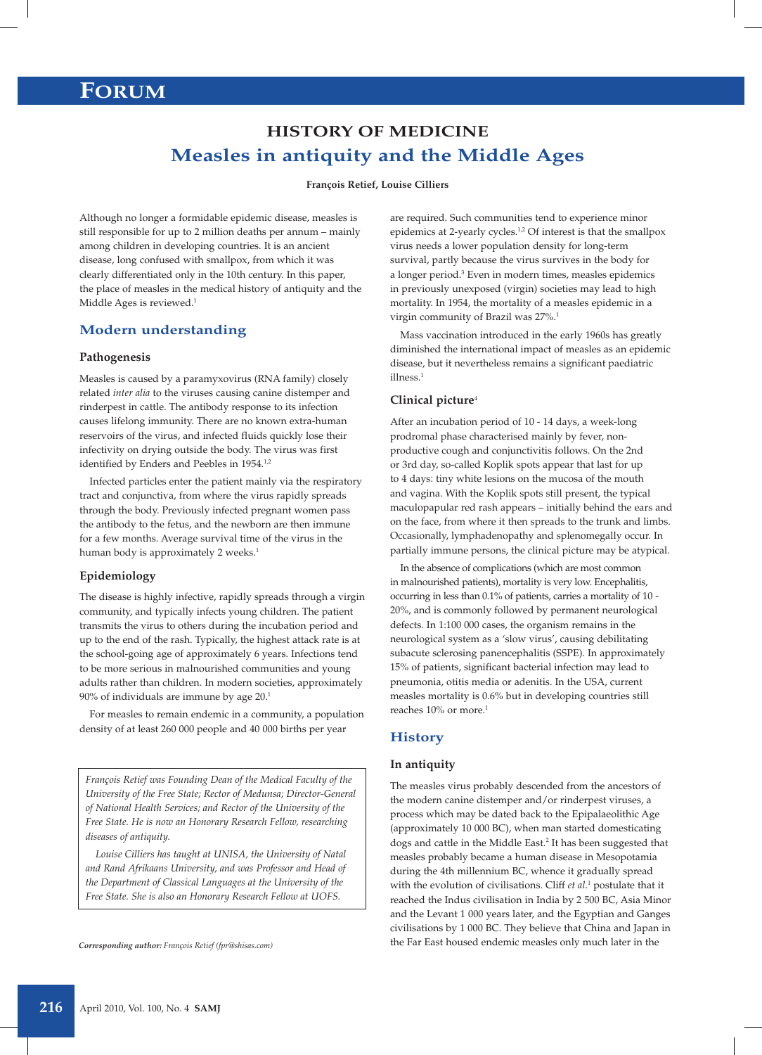# **FORUM**

# **HISTORY OF MEDICINE Measles in antiquity and the Middle Ages**

#### **François Retief, Louise Cilliers**

Although no longer a formidable epidemic disease, measles is still responsible for up to 2 million deaths per annum – mainly among children in developing countries. It is an ancient disease, long confused with smallpox, from which it was clearly differentiated only in the 10th century. In this paper, the place of measles in the medical history of antiquity and the Middle Ages is reviewed.<sup>1</sup>

# **Modern understanding**

## **Pathogenesis**

Measles is caused by a paramyxovirus (RNA family) closely related *inter alia* to the viruses causing canine distemper and rinderpest in cattle. The antibody response to its infection causes lifelong immunity. There are no known extra-human reservoirs of the virus, and infected fluids quickly lose their infectivity on drying outside the body. The virus was first identified by Enders and Peebles in 1954.<sup>1,2</sup>

Infected particles enter the patient mainly via the respiratory tract and conjunctiva, from where the virus rapidly spreads through the body. Previously infected pregnant women pass the antibody to the fetus, and the newborn are then immune for a few months. Average survival time of the virus in the human body is approximately 2 weeks.<sup>1</sup>

#### **Epidemiology**

The disease is highly infective, rapidly spreads through a virgin community, and typically infects young children. The patient transmits the virus to others during the incubation period and up to the end of the rash. Typically, the highest attack rate is at the school-going age of approximately 6 years. Infections tend to be more serious in malnourished communities and young adults rather than children. In modern societies, approximately 90% of individuals are immune by age 20.1

For measles to remain endemic in a community, a population density of at least 260 000 people and 40 000 births per year

*François Retief was Founding Dean of the Medical Faculty of the University of the Free State; Rector of Medunsa; Director-General of National Health Services; and Rector of the University of the Free State. He is now an Honorary Research Fellow, researching diseases of antiquity.*

*Louise Cilliers has taught at UNISA, the University of Natal and Rand Afrikaans University, and was Professor and Head of the Department of Classical Languages at the University of the Free State. She is also an Honorary Research Fellow at UOFS.*

are required. Such communities tend to experience minor epidemics at 2-yearly cycles.<sup>1,2</sup> Of interest is that the smallpox virus needs a lower population density for long-term survival, partly because the virus survives in the body for a longer period.<sup>3</sup> Even in modern times, measles epidemics in previously unexposed (virgin) societies may lead to high mortality. In 1954, the mortality of a measles epidemic in a virgin community of Brazil was 27%.1

Mass vaccination introduced in the early 1960s has greatly diminished the international impact of measles as an epidemic disease, but it nevertheless remains a significant paediatric illness.<sup>1</sup>

## **Clinical picture**<sup>4</sup>

After an incubation period of 10 - 14 days, a week-long prodromal phase characterised mainly by fever, nonproductive cough and conjunctivitis follows. On the 2nd or 3rd day, so-called Koplik spots appear that last for up to 4 days: tiny white lesions on the mucosa of the mouth and vagina. With the Koplik spots still present, the typical maculopapular red rash appears – initially behind the ears and on the face, from where it then spreads to the trunk and limbs. Occasionally, lymphadenopathy and splenomegally occur. In partially immune persons, the clinical picture may be atypical.

In the absence of complications (which are most common in malnourished patients), mortality is very low. Encephalitis, occurring in less than 0.1% of patients, carries a mortality of 10 - 20%, and is commonly followed by permanent neurological defects. In 1:100 000 cases, the organism remains in the neurological system as a 'slow virus', causing debilitating subacute sclerosing panencephalitis (SSPE). In approximately 15% of patients, significant bacterial infection may lead to pneumonia, otitis media or adenitis. In the USA, current measles mortality is 0.6% but in developing countries still reaches 10% or more.<sup>1</sup>

# **History**

## **In antiquity**

The measles virus probably descended from the ancestors of the modern canine distemper and/or rinderpest viruses, a process which may be dated back to the Epipalaeolithic Age (approximately 10 000 BC), when man started domesticating dogs and cattle in the Middle East.<sup>2</sup> It has been suggested that measles probably became a human disease in Mesopotamia during the 4th millennium BC, whence it gradually spread with the evolution of civilisations. Cliff *et al*.<sup>1</sup> postulate that it reached the Indus civilisation in India by 2 500 BC, Asia Minor and the Levant 1 000 years later, and the Egyptian and Ganges civilisations by 1 000 BC. They believe that China and Japan in the Far East housed endemic measles only much later in the